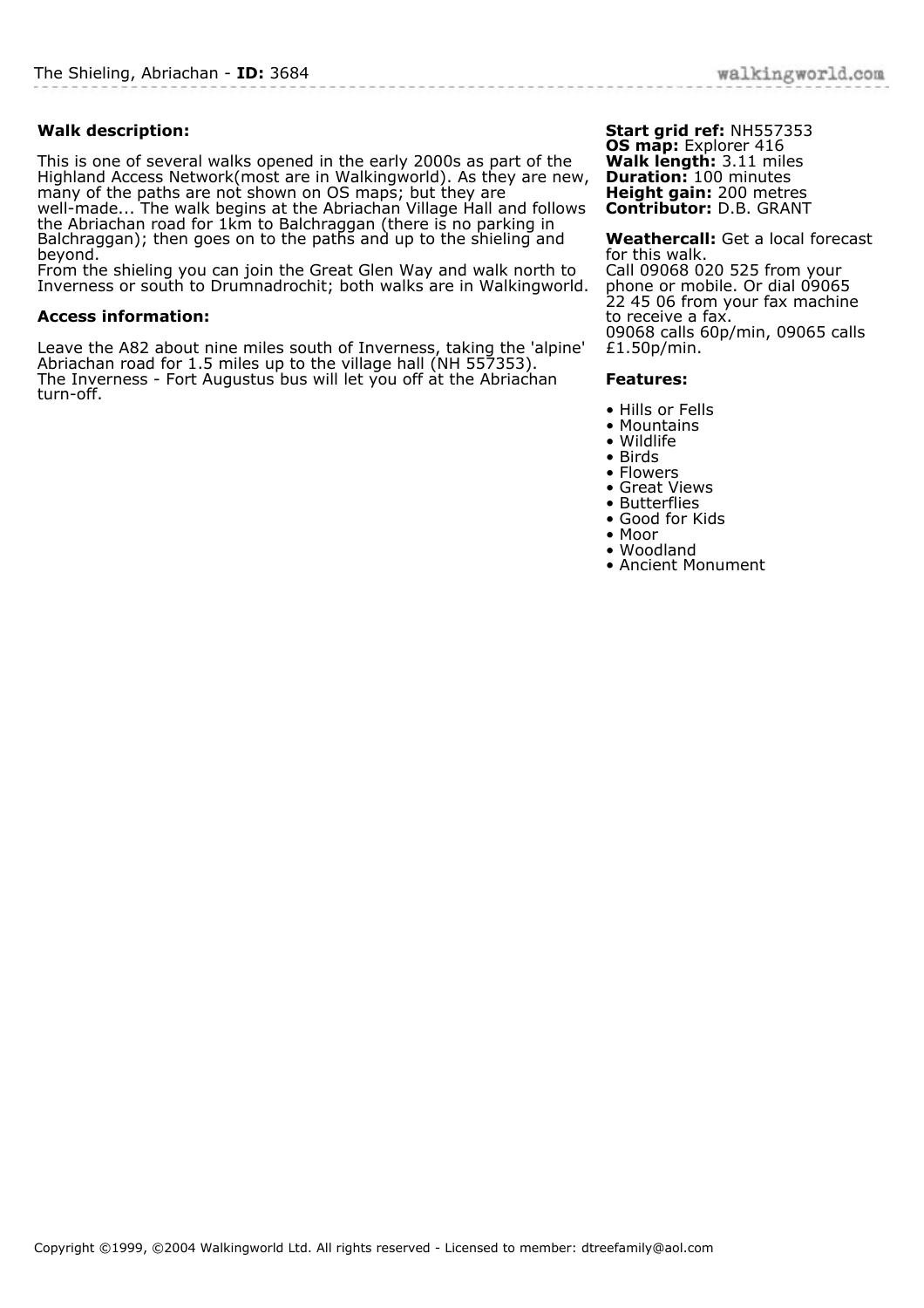## **Walk description:**

This is one of several walks opened in the early 2000s as part of the Highland Access Network(most are in Walkingworld). As they are new, many of the paths are not shown on OS maps; but they are well-made... The walk begins at the Abriachan Village Hall and follows the Abriachan road for 1km to Balchraggan (there is no parking in Balchraggan); then goes on to the paths and up to the shieling and beyond.

From the shieling you can join the Great Glen Way and walk north to Inverness or south to Drumnadrochit; both walks are in Walkingworld.

## **Access information:**

Leave the A82 about nine miles south of Inverness, taking the 'alpine' Abriachan road for 1.5 miles up to the village hall (NH 557353). The Inverness - Fort Augustus bus will let you off at the Abriachan turn-off.

## **Start grid ref:** NH557353 **OS map:** Explorer 416 **Walk length:** 3.11 miles **Duration:** 100 minutes **Height gain:** 200 metres **Contributor:** D.B. GRANT

**Weathercall:** Get a local forecast for this walk. Call 09068 020 525 from your phone or mobile. Or dial 09065 22 45 06 from your fax machine to receive a fax. 09068 calls 60p/min, 09065 calls £1.50p/min.

## **Features:**

- Hills or Fells
- Mountains
- Wildlife
- Birds
- Flowers • Great Views
- Butterflies
- Good for Kids
- Moor
- Woodland
- Ancient Monument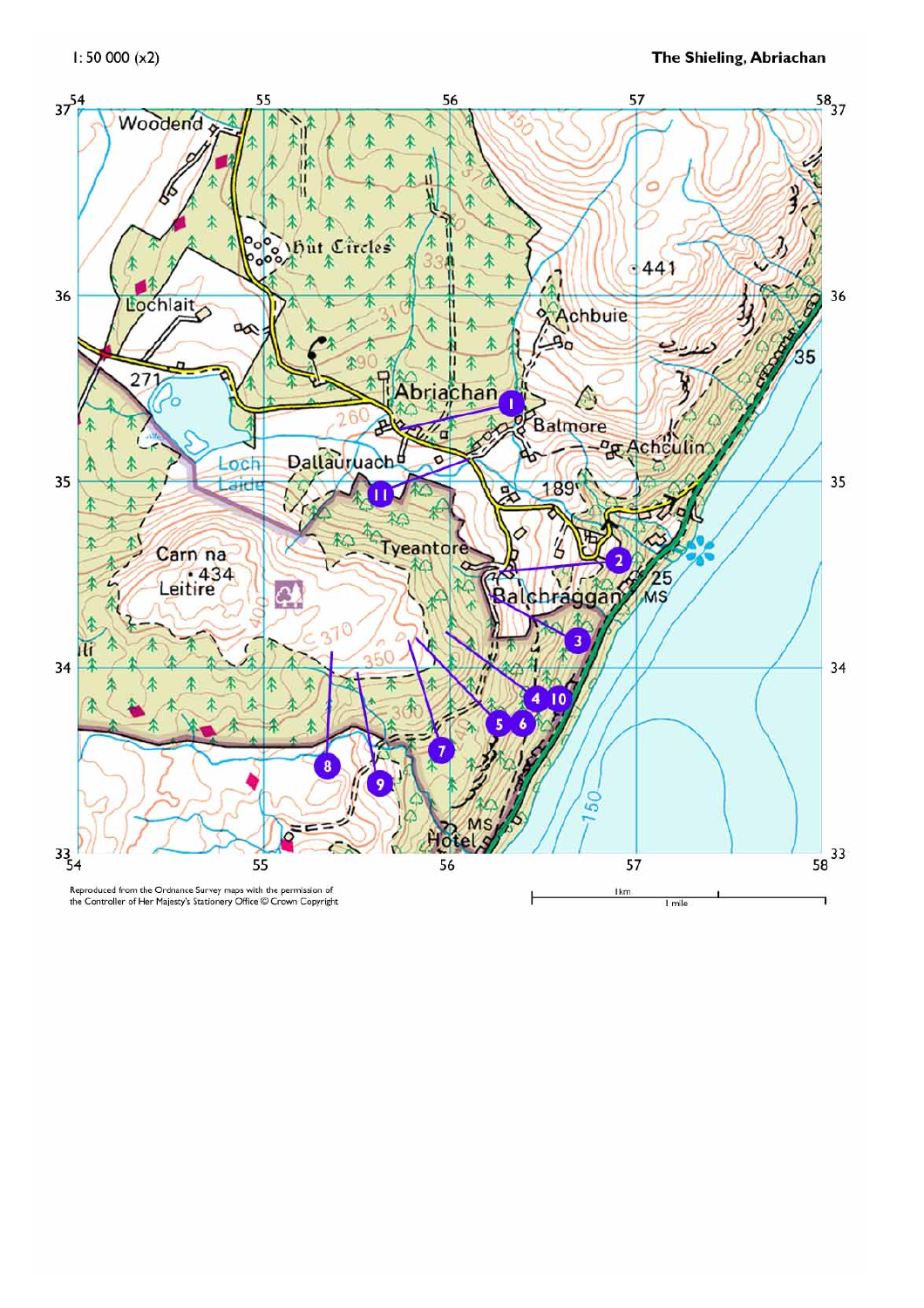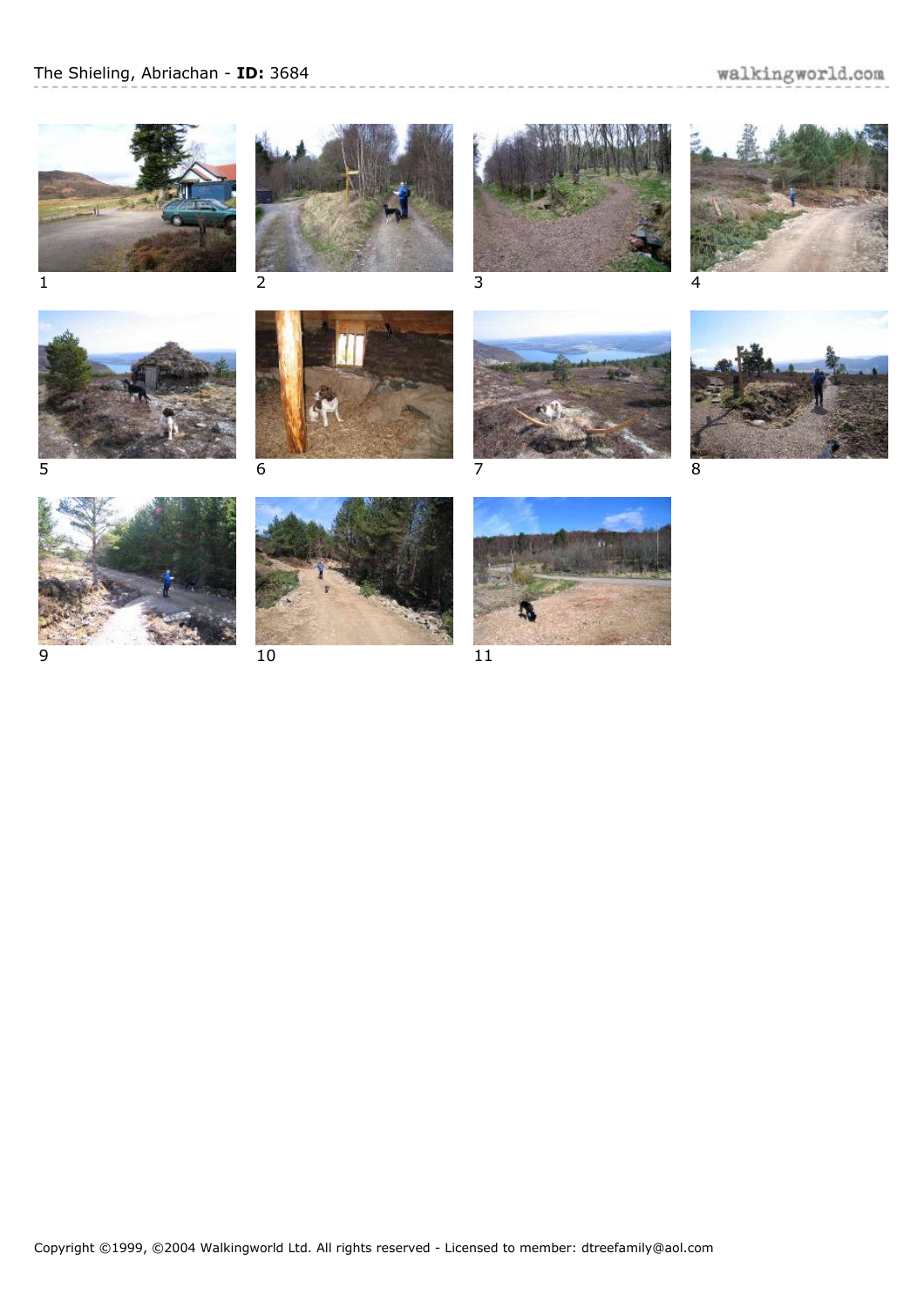

















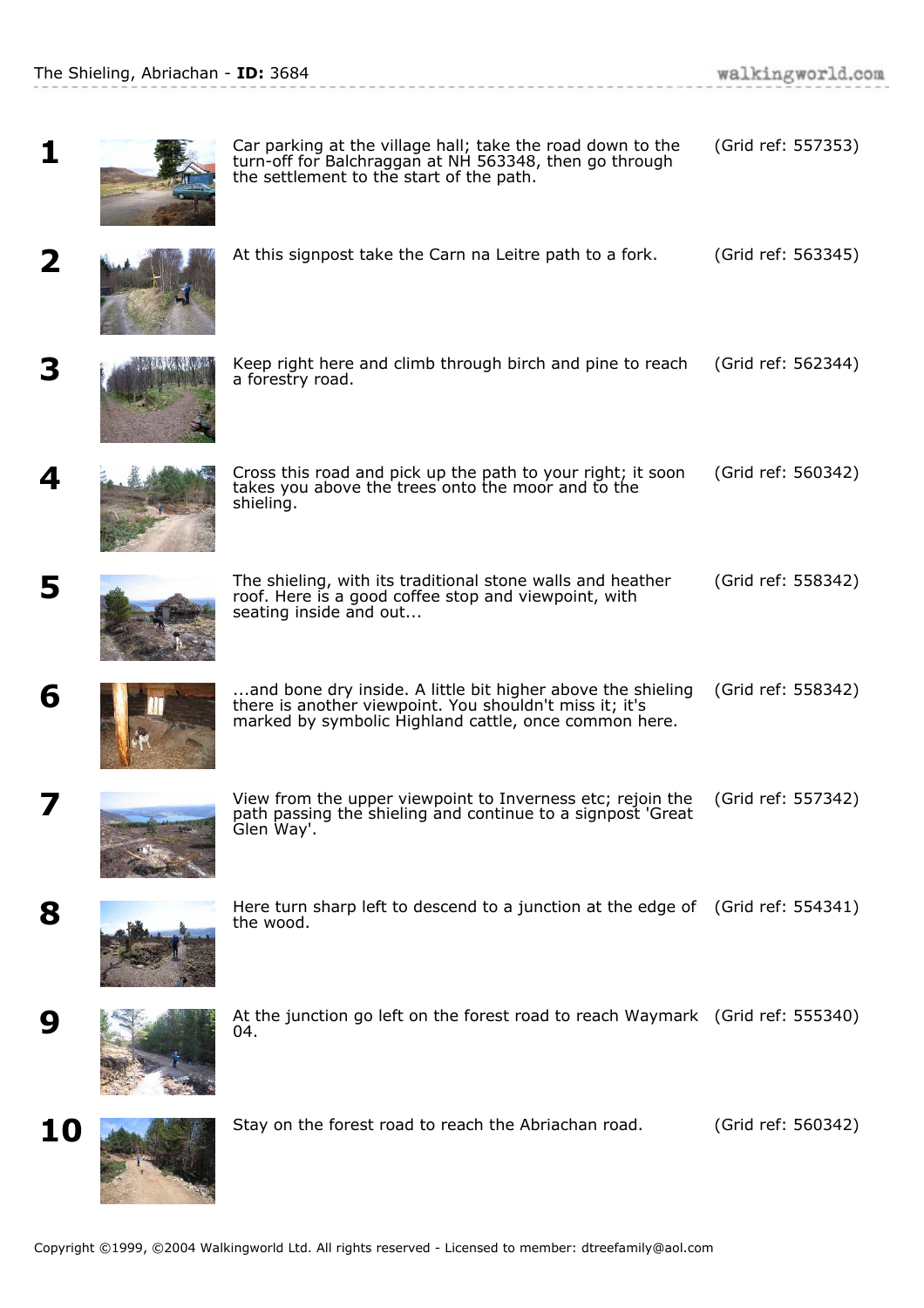|    | Car parking at the village hall; take the road down to the<br>turn-off for Balchraggan at NH 563348, then go through<br>the settlement to the start of the path.                | (Grid ref: 557353) |
|----|---------------------------------------------------------------------------------------------------------------------------------------------------------------------------------|--------------------|
|    | At this signpost take the Carn na Leitre path to a fork.                                                                                                                        | (Grid ref: 563345) |
|    | Keep right here and climb through birch and pine to reach<br>a forestry road.                                                                                                   | (Grid ref: 562344) |
|    | Cross this road and pick up the path to your right; it soon<br>takes you above the trees onto the moor and to the<br>shieling.                                                  | (Grid ref: 560342) |
| 5  | The shieling, with its traditional stone walls and heather<br>roof. Here is a good coffee stop and viewpoint, with<br>seating inside and out                                    | (Grid ref: 558342) |
| 6  | and bone dry inside. A little bit higher above the shieling<br>there is another viewpoint. You shouldn't miss it; it's<br>marked by symbolic Highland cattle, once common here. | (Grid ref: 558342) |
|    | View from the upper viewpoint to Inverness etc; rejoin the<br>path passing the shieling and continue to a signpost 'Great<br>Glen Way'.                                         | (Grid ref: 557342) |
| 8  | Here turn sharp left to descend to a junction at the edge of (Grid ref: 554341)<br>the wood.                                                                                    |                    |
| 9  | At the junction go left on the forest road to reach Waymark (Grid ref: 555340)<br>04.                                                                                           |                    |
| 10 | Stay on the forest road to reach the Abriachan road.                                                                                                                            | (Grid ref: 560342) |

.<br>Se participat de l'articol del contentido del contentido del contentido del contentido del contentido del cont